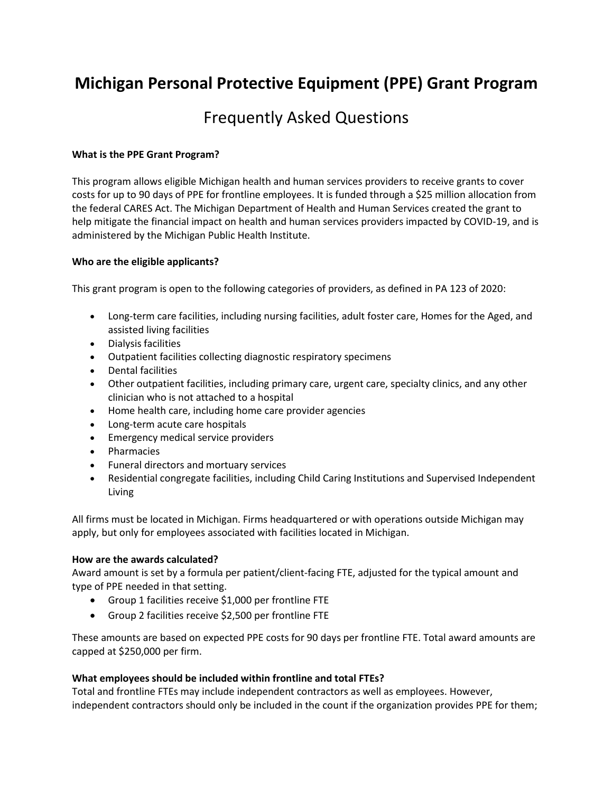# **Michigan Personal Protective Equipment (PPE) Grant Program**

## Frequently Asked Questions

#### **What is the PPE Grant Program?**

This program allows eligible Michigan health and human services providers to receive grants to cover costs for up to 90 days of PPE for frontline employees. It is funded through a \$25 million allocation from the federal CARES Act. The Michigan Department of Health and Human Services created the grant to help mitigate the financial impact on health and human services providers impacted by COVID-19, and is administered by the Michigan Public Health Institute.

#### **Who are the eligible applicants?**

This grant program is open to the following categories of providers, as defined in PA 123 of 2020:

- Long-term care facilities, including nursing facilities, adult foster care, Homes for the Aged, and assisted living facilities
- Dialysis facilities
- Outpatient facilities collecting diagnostic respiratory specimens
- Dental facilities
- Other outpatient facilities, including primary care, urgent care, specialty clinics, and any other clinician who is not attached to a hospital
- Home health care, including home care provider agencies
- Long-term acute care hospitals
- Emergency medical service providers
- Pharmacies
- Funeral directors and mortuary services
- Residential congregate facilities, including Child Caring Institutions and Supervised Independent Living

All firms must be located in Michigan. Firms headquartered or with operations outside Michigan may apply, but only for employees associated with facilities located in Michigan.

#### **How are the awards calculated?**

Award amount is set by a formula per patient/client-facing FTE, adjusted for the typical amount and type of PPE needed in that setting.

- Group 1 facilities receive \$1,000 per frontline FTE
- Group 2 facilities receive \$2,500 per frontline FTE

These amounts are based on expected PPE costs for 90 days per frontline FTE. Total award amounts are capped at \$250,000 per firm.

#### **What employees should be included within frontline and total FTEs?**

Total and frontline FTEs may include independent contractors as well as employees. However, independent contractors should only be included in the count if the organization provides PPE for them;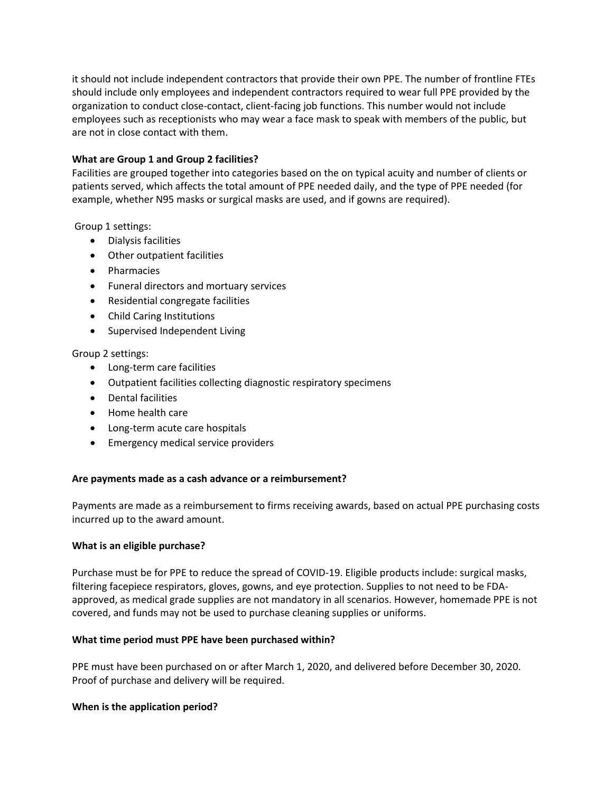it should not include independent contractors that provide their own PPE. The number of frontline FTEs should include only employees and independent contractors required to wear full PPE provided by the organization to conduct close-contact, client-facing job functions. This number would not include employees such as receptionists who may wear a face mask to speak with members of the public, but are not in close contact with them.

#### **What are Group 1 and Group 2 facilities?**

Facilities are grouped together into categories based on the on typical acuity and number of clients or patients served, which affects the total amount of PPE needed daily, and the type of PPE needed (for example, whether N95 masks or surgical masks are used, and if gowns are required).

Group 1 settings:

- Dialysis facilities
- Other outpatient facilities
- Pharmacies
- Funeral directors and mortuary services
- Residential congregate facilities
- Child Caring Institutions
- Supervised Independent Living

#### Group 2 settings:

- Long-term care facilities
- Outpatient facilities collecting diagnostic respiratory specimens
- Dental facilities
- Home health care
- Long-term acute care hospitals
- Emergency medical service providers

#### **Are payments made as a cash advance or a reimbursement?**

Payments are made as a reimbursement to firms receiving awards, based on actual PPE purchasing costs incurred up to the award amount.

#### **What is an eligible purchase?**

Purchase must be for PPE to reduce the spread of COVID-19. Eligible products include: surgical masks, filtering facepiece respirators, gloves, gowns, and eye protection. Supplies to not need to be FDAapproved, as medical grade supplies are not mandatory in all scenarios. However, homemade PPE is not covered, and funds may not be used to purchase cleaning supplies or uniforms.

#### **What time period must PPE have been purchased within?**

PPE must have been purchased on or after March 1, 2020, and delivered before December 30, 2020. Proof of purchase and delivery will be required.

#### **When is the application period?**